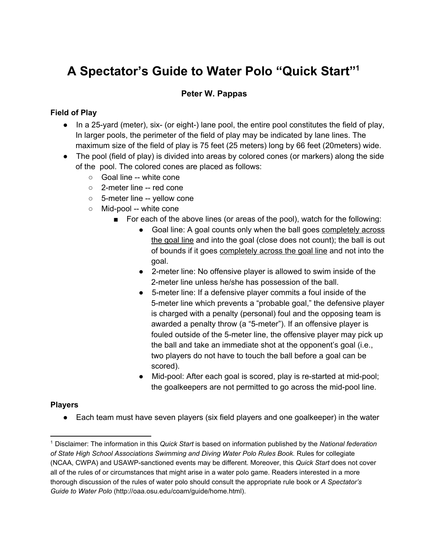# **A Spectator's Guide to Water Polo "Quick Start" 1**

## **Peter W. Pappas**

#### **Field of Play**

- $\bullet$  In a 25-yard (meter), six- (or eight-) lane pool, the entire pool constitutes the field of play, In larger pools, the perimeter of the field of play may be indicated by lane lines. The maximum size of the field of play is 75 feet (25 meters) long by 66 feet (20meters) wide.
- The pool (field of play) is divided into areas by colored cones (or markers) along the side of the pool. The colored cones are placed as follows:
	- Goal line -- white cone
	- $\circ$  2-meter line -- red cone
	- o 5-meter line -- yellow cone
	- Mid-pool -- white cone
		- For each of the above lines (or areas of the pool), watch for the following:
			- Goal line: A goal counts only when the ball goes completely across the goal line and into the goal (close does not count); the ball is out of bounds if it goes completely across the goal line and not into the goal.
			- 2-meter line: No offensive player is allowed to swim inside of the 2meter line unless he/she has possession of the ball.
			- 5meter line: If a defensive player commits a foul inside of the 5meter line which prevents a "probable goal," the defensive player is charged with a penalty (personal) foul and the opposing team is awarded a penalty throw (a "5-meter"). If an offensive player is fouled outside of the 5-meter line, the offensive player may pick up the ball and take an immediate shot at the opponent's goal (i.e., two players do not have to touch the ball before a goal can be scored).
			- Mid-pool: After each goal is scored, play is re-started at mid-pool; the goalkeepers are not permitted to go across the mid-pool line.

#### **Players**

● Each team must have seven players (six field players and one goalkeeper) in the water

<sup>1</sup> Disclaimer: The information in this *Quick Start* is based on information published by the *National federation of State High School Associations Swimming and Diving Water Polo Rules Book.* Rules for collegiate (NCAA, CWPA) and USAWPsanctioned events may be different. Moreover, this *Quick Start* does not cover all of the rules of or circumstances that might arise in a water polo game. Readers interested in a more thorough discussion of the rules of water polo should consult the appropriate rule book or *A Spectator's Guide to Water Polo* (http://oaa.osu.edu/coam/guide/home.html).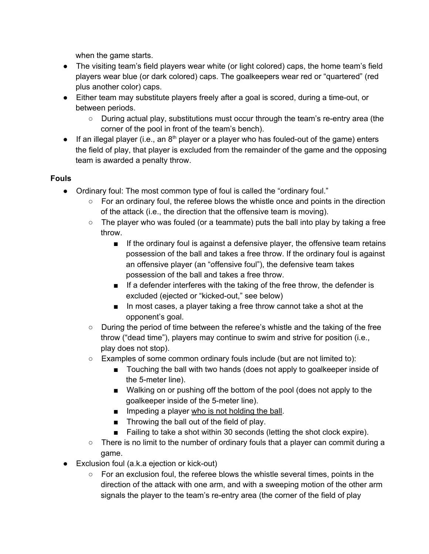when the game starts.

- The visiting team's field players wear white (or light colored) caps, the home team's field players wear blue (or dark colored) caps. The goalkeepers wear red or "quartered" (red plus another color) caps.
- Either team may substitute players freely after a goal is scored, during a time-out, or between periods.
	- $\circ$  During actual play, substitutions must occur through the team's re-entry area (the corner of the pool in front of the team's bench).
- $\bullet$  If an illegal player (i.e., an  $8<sup>th</sup>$  player or a player who has fouled-out of the game) enters the field of play, that player is excluded from the remainder of the game and the opposing team is awarded a penalty throw.

## **Fouls**

- Ordinary foul: The most common type of foul is called the "ordinary foul."
	- $\circ$  For an ordinary foul, the referee blows the whistle once and points in the direction of the attack (i.e., the direction that the offensive team is moving).
	- $\circ$  The player who was fouled (or a teammate) puts the ball into play by taking a free throw.
		- If the ordinary foul is against a defensive player, the offensive team retains possession of the ball and takes a free throw. If the ordinary foul is against an offensive player (an "offensive foul"), the defensive team takes possession of the ball and takes a free throw.
		- If a defender interferes with the taking of the free throw, the defender is excluded (ejected or "kicked-out," see below)
		- In most cases, a player taking a free throw cannot take a shot at the opponent's goal.
	- During the period of time between the referee's whistle and the taking of the free throw ("dead time"), players may continue to swim and strive for position (i.e., play does not stop).
	- Examples of some common ordinary fouls include (but are not limited to):
		- Touching the ball with two hands (does not apply to goalkeeper inside of the 5-meter line).
		- Walking on or pushing off the bottom of the pool (does not apply to the goalkeeper inside of the 5-meter line).
		- Impeding a player who is not holding the ball.
		- Throwing the ball out of the field of play.
		- Failing to take a shot within 30 seconds (letting the shot clock expire).
	- $\circ$  There is no limit to the number of ordinary fouls that a player can commit during a game.
- $\bullet$  Exclusion foul (a.k.a ejection or kick-out)
	- $\circ$  For an exclusion foul, the referee blows the whistle several times, points in the direction of the attack with one arm, and with a sweeping motion of the other arm signals the player to the team's re-entry area (the corner of the field of play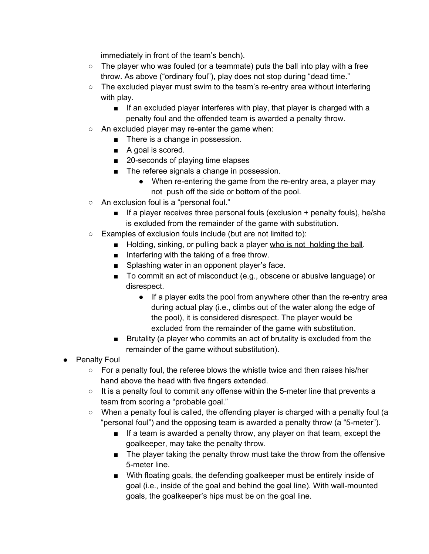immediately in front of the team's bench).

- $\circ$  The player who was fouled (or a teammate) puts the ball into play with a free throw. As above ("ordinary foul"), play does not stop during "dead time."
- The excluded player must swim to the team's re-entry area without interfering with play.
	- If an excluded player interferes with play, that player is charged with a penalty foul and the offended team is awarded a penalty throw.
- $\circ$  An excluded player may re-enter the game when:
	- There is a change in possession.
	- A goal is scored.
	- 20-seconds of playing time elapses
	- The referee signals a change in possession.
		- When re-entering the game from the re-entry area, a player may not push off the side or bottom of the pool.
- An exclusion foul is a "personal foul."
	- If a player receives three personal fouls (exclusion + penalty fouls), he/she is excluded from the remainder of the game with substitution.
- Examples of exclusion fouls include (but are not limited to):
	- Holding, sinking, or pulling back a player who is not holding the ball.
	- Interfering with the taking of a free throw.
	- Splashing water in an opponent player's face.
	- To commit an act of misconduct (e.g., obscene or abusive language) or disrespect.
		- $\bullet$  If a player exits the pool from anywhere other than the re-entry area during actual play (i.e., climbs out of the water along the edge of the pool), it is considered disrespect. The player would be excluded from the remainder of the game with substitution.
	- Brutality (a player who commits an act of brutality is excluded from the remainder of the game without substitution).
- Penalty Foul
	- $\circ$  For a penalty foul, the referee blows the whistle twice and then raises his/her hand above the head with five fingers extended.
	- $\circ$  It is a penalty foul to commit any offense within the 5-meter line that prevents a team from scoring a "probable goal."
	- $\circ$  When a penalty foul is called, the offending player is charged with a penalty foul (a "personal foul") and the opposing team is awarded a penalty throw (a "5-meter").
		- If a team is awarded a penalty throw, any player on that team, except the goalkeeper, may take the penalty throw.
		- The player taking the penalty throw must take the throw from the offensive 5-meter line.
		- With floating goals, the defending goalkeeper must be entirely inside of goal (i.e., inside of the goal and behind the goal line). With wall-mounted goals, the goalkeeper's hips must be on the goal line.